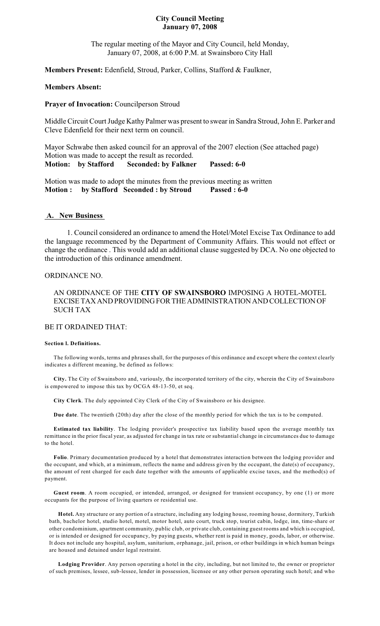## **City Council Meeting January 07, 2008**

The regular meeting of the Mayor and City Council, held Monday, January 07, 2008, at 6:00 P.M. at Swainsboro City Hall

**Members Present:** Edenfield, Stroud, Parker, Collins, Stafford & Faulkner,

# **Members Absent:**

# **Prayer of Invocation:** Councilperson Stroud

Middle Circuit Court Judge Kathy Palmer was present to swear in Sandra Stroud, John E. Parker and Cleve Edenfield for their next term on council.

Mayor Schwabe then asked council for an approval of the 2007 election (See attached page) Motion was made to accept the result as recorded. **Motion: by Stafford Seconded: by Falkner Passed: 6-0**

Motion was made to adopt the minutes from the previous meeting as written **Motion : by Stafford Seconded : by Stroud Passed : 6-0**

## **A. New Business**

1. Council considered an ordinance to amend the Hotel/Motel Excise Tax Ordinance to add the language recommenced by the Department of Community Affairs. This would not effect or change the ordinance . This would add an additional clause suggested by DCA. No one objected to the introduction of this ordinance amendment.

## ORDINANCE NO.

AN ORDINANCE OF THE **CITY OF SWAINSBORO** IMPOSING A HOTEL-MOTEL EXCISE TAX AND PROVIDING FOR THE ADMINISTRATION AND COLLECTION OF SUCH TAX

# BE IT ORDAINED THAT:

## **Section l. Definitions.**

The following words, terms and phrases shall, for the purposes of this ordinance and except where the context clearly indicates a different meaning, be defined as follows:

**City.** The City of Swainsboro and, variously, the incorporated territory of the city, wherein the City of Swainsboro is empowered to impose this tax by OCGA 48-13-50, et seq.

**City Clerk**. The duly appointed City Clerk of the City of Swainsboro or his designee.

**Due date**. The twentieth (20th) day after the close of the monthly period for which the tax is to be computed.

**Estimated tax liability**. The lodging provider's prospective tax liability based upon the average monthly tax remittance in the prior fiscal year, as adjusted for change in tax rate or substantial change in circumstances due to damage to the hotel.

**Folio**. Primary documentation produced by a hotel that demonstrates interaction between the lodging provider and the occupant, and which, at a minimum, reflects the name and address given by the occupant, the date(s) of occupancy, the amount of rent charged for each date together with the amounts of applicable excise taxes, and the method(s) of payment.

**Guest room**. A room occupied, or intended, arranged, or designed for transient occupancy, by one (1) or more occupants for the purpose of living quarters or residential use.

**Hotel.** Any structure or any portion of a structure, including any lodging house, rooming house, dormitory, Turkish bath, bachelor hotel, studio hotel, motel, motor hotel, auto court, truck stop, tourist cabin, lodge, inn, time-share or other condominium, apartment community, public club, or private club, containing guest rooms and which is occupied, or is intended or designed for occupancy, by paying guests, whether rent is paid in money, goods, labor, or otherwise. It does not include any hospital, asylum, sanitarium, orphanage, jail, prison, or other buildings in which human beings are housed and detained under legal restraint.

**Lodging Provider**. Any person operating a hotel in the city, including, but not limited to, the owner or proprietor of such premises, lessee, sub-lessee, lender in possession, licensee or any other person operating such hotel; and who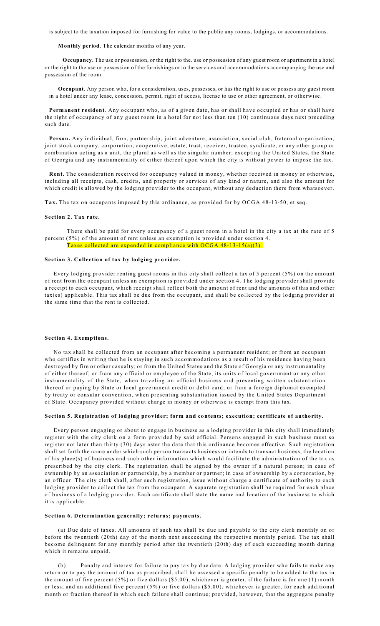is subject to the taxation imposed for furnishing for value to the public any rooms, lodgings, or accommodations.

## **Monthly period**. The calendar months of any year.

**Occupancy.** The use or possession, or the right to the. use or possession of any guest room or apartment in a hotel or the right to the use or possession of the furnishings or to the services and accommodations accompanying the use and possession of the room.

**Occupant**. Any person who, for a consideration, uses, possesses, or has the right to use or possess any guest room in a hotel under any lease, concession, permit, right of access, license to use or other agreement, or otherwise.

**Permanent resident**. Any occupant who, as of a given date, has or shall have occupied or has or shall have the right of occupancy of any guest room in a hotel for not less than ten (10) continuous days next preceding such date.

**Person.** Any individual, firm, partnership, joint adventure, association, social club, fraternal organization, joint stock company, corporation, cooperative, estate, trust, receiver, trustee, syndicate, or any other group or combination acting as a unit, the plural as well as the singular number; excepting the United States, the State of Georgia and any instrumentality of either thereof upon which the city is without power to impose the tax.

**Rent.** The consideration received for occupancy valued in money, whether received in money or otherwise, including all receipts, cash, credits, and property or services of any kind or nature, and also the amount for which credit is allowed by the lodging provider to the occupant, without any deduction there from whatsoever.

**Tax.** The tax on occupants imposed by this ordinance, as provided for by OCGA 48-13-50, et seq.

#### **Section 2. Tax rate.**

There shall be paid for every occupancy of a guest room in a hotel in the city a tax at the rate of 5 percent (5% ) of the amount of rent unless an exemption is provided under section 4. Taxes collected are expended in compliance with OCGA 48-13-15(a)(3).

# **Section 3. Collection of tax by lodging provider.**

Every lodging provider renting guest rooms in this city shall collect a tax of 5 percent (5%) on the amount of rent from the occupant unless an exemption is provided under section 4. The lodging provider shall provide a receipt to each occupant, which receipt shall reflect both the amount of rent and the amounts of this and other tax(es) applicable. This tax shall be due from the occupant, and shall be collected by the lodging provider at the same time that the rent is collected.

#### **Section 4. Exemptions.**

No tax shall be collected from an occupant after becoming a permanent resident; or from an occupant who certifies in writing that he is staying in such accommodations as a result of his residence having been destroyed by fire or other casualty; or from the United States and the State of Georgia or any instrumentality of either thereof; or from any official or employee of the State, its units of local government or any other instrumentality of the State, when traveling on official business and presenting written substantiation thereof or paying by State or local government credit or debit card; or from a foreign diplomat exempted by treaty or consular convention, when presenting substantiation issued by the United States Department of State. Occupancy provided without charge in money or otherwise is exempt from this tax.

## **Section 5. Registration of lodging provider; form and contents; execution; certificate of authority.**

Every person engaging or about to engage in business as a lodging provider in this city shall immediately register with the city clerk on a form provided by said official. Persons engaged in such business must so register not later than thirty (30) days aster the date that this ordinance becomes effective. Such registration shall set forth the name under which such person transacts business or intends to transact business, the location of his place(s) of business and such other information which would facilitate the administration of the tax as prescribed by the city clerk. The registration shall be signed by the owner if a natural person; in case of ownership by an association or partnership, by a member or partner; in case of ownership by a corporation, by an officer. The city clerk shall, after such registration, issue without charge a certificate of authority to each lodging provider to collect the tax from the occupant. A separate registration shall be required for each place of business of a lodging provider. Each certificate shall state the name and location of the business to which it is applicable.

## **Section 6. Determination generally; returns; payments.**

(a) Due date of taxes. All amounts of such tax shall be due and payable to the city clerk monthly on or before the twentieth (20th) day of the month next succeeding the respective monthly period. The tax shall become delinquent for any monthly period after the twentieth (20th) day of each succeeding month during which it remains unpaid.

Penalty and interest for failure to pay tax by due date. A lodging provider who fails to make any return or to pay the amount of tax as prescribed, shall be assessed a specific penalty to be added to the tax in the amount of five percent (5%) or five dollars (\$5.00), whichever is greater, if the failure is for one (1) month or less; and an additional five percent (5%) or five dollars (\$5.00), whichever is greater, for each additional month or fraction thereof in which such failure shall continue; provided, however, that the aggregate penalty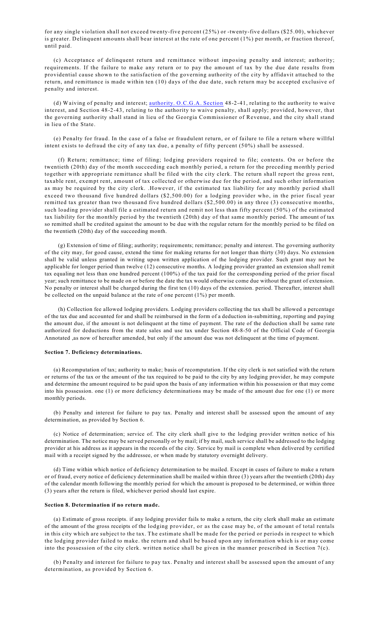for any single violation shall not exceed twenty-five percent (25%) or -twenty-five dollars (\$25.00), whichever is greater. Delinquent amounts shall bear interest at the rate of one percent (1%) per month, or fraction thereof, until paid.

(c) Acceptance of delinquent return and remittance without imposing penalty and interest; authority; requirements. If the failure to make any return or to pay the amount of tax by the due date results from providential cause shown to the satisfaction of the governing authority of the city by affidavit attached to the return, and remittance is made within ten (10) days of the due date, such return may be accepted exclusive of penalty and interest.

(d) Waiving of penalty and interest; [authority. O.C.G.A. Section](http://authority.O.C.G.A.Section) 48-2-41, relating to the authority to waive interest, and Section 48-2-43, relating to the authority to waive penalty, shall apply; provided, however, that the governing authority shall stand in lieu of the Georgia Commissioner of Revenue, and the city shall stand in lieu of the State.

(e) Penalty for fraud. In the case of a false or fraudulent return, or of failure to file a return where willful intent exists to defraud the city of any tax due, a penalty of fifty percent (50%) shall be assessed.

(f) Return; remittance; time of filing; lodging providers required to file; contents. On or before the twentieth (20th) day of the month succeeding each monthly period, a return for the preceding monthly period together with appropriate remittance shall be filed with the city clerk. The return shall report the gross rent, taxable rent, exempt rent, amount of tax collected or otherwise due for the period, and such other information as may be required by the city clerk. .However, if the estimated tax liability for any monthly period shall exceed two thousand five hundred dollars (\$2,500.00) for a lodging provider who, in the prior fiscal year remitted tax greater than two thousand five hundred dollars (\$2,500.00) in any three (3) consecutive months, such loading provider shall file a estimated return and remit not less than fifty percent (50%) of the estimated tax liability for the monthly period by the twentieth (20th) day of that same monthly period. The amount of tax so remitted shall be credited against the amount to be due with the regular return for the monthly period to be filed on the twentieth (20th) day of the succeeding month.

(g) Extension of time of filing; authority; requirements; remittance; penalty and interest. The governing authority of the city may, for good cause, extend the time for making returns for not longer than thirty (30) days. No extension shall be valid unless granted in writing upon written application of the lodging provider. Such grant may not be applicable for longer period than twelve (12) consecutive months. A lodging provider granted an extension shall remit tax equaling not less than one hundred percent (100%) of the tax paid for the corresponding period of the prior fiscal year; such remittance to be made on or before the date the tax would otherwise come due without the grant of extension. No penalty or interest shall be charged during the first ten (10) days of the extension. period. Thereafter, interest shall be collected on the unpaid balance at the rate of one percent (1%) per month.

(h) Collection fee allowed lodging providers. Lodging providers collecting the tax shall be allowed a percentage of the tax due and accounted for and shall be reimbursed in the form of a deduction in-submitting, reporting and paying the amount due, if the amount is not delinquent at the time of payment. The rate of the deduction shall be same rate authorized for deductions from the state sales and use tax under Section 48-8-50 of the Official Code of Georgia Annotated ,as now of hereafter amended, but only if the amount due was not delinquent at the time of payment.

#### **Section 7. Deficiency determinations.**

(a) Recomputation of tax; authority to make; basis of recomputation. If the city clerk is not satisfied with the return or returns of the tax or the amount of the tax required to be paid to the city by any lodging provider, he may compute and determine the amount required to be paid upon the basis of any information within his possession or that may come into his possession. one (1) or more deficiency determinations may be made of the amount due for one (1) or more monthly periods.

(b) Penalty and interest for failure to pay tax. Penalty and interest shall be assessed upon the amount of any determination, as provided by Section 6.

(c) Notice of determination; service of. The city clerk shall give to the lodging provider written notice of his determination. The notice may be served personally or by mail; if by mail, such service shall be addressed to the lodging provider at his address as it appears in the records of the city. Service by mail is complete when delivered by certified mail with a receipt signed by the addressee, or when made by statutory overnight delivery.

(d) Time within which notice of deficiency determination to be mailed. Except in cases of failure to make a return or of fraud, every notice of deficiency determination shall be mailed within three (3) years after the twentieth (20th) day of the calendar month following the monthly period for which the amount is proposed to be determined, or within three (3) years after the return is filed, whichever period should last expire.

### **Section 8. Determination if no return made.**

(a) Estimate of gross receipts. if any lodging provider fails to make a return, the city clerk shall make an estimate of the amount of the gross receipts of the lodging provider, or as the case may be, of the amount of total rentals in this city which are subject to the tax. The estimate shall be made for the period or periods in respect to which the lodging provider failed to make. the return and shall be based upon any information which is or may come into the possession of the city clerk. written notice shall be given in the manner prescribed in Section 7(c).

(b) Penalty and interest for failure to pay tax. Penalty and interest shall be assessed upon the amount of any determination, as provided by Section 6.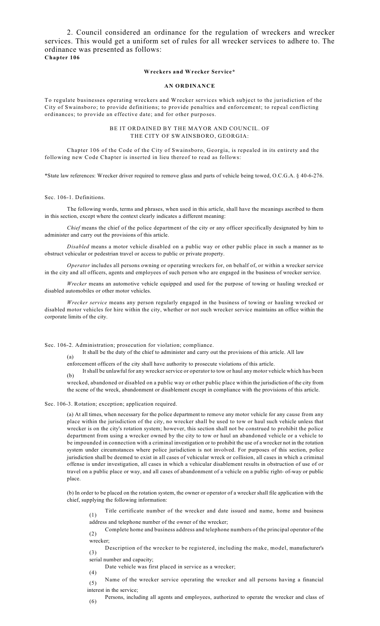2. Council considered an ordinance for the regulation of wreckers and wrecker services. This would get a uniform set of rules for all wrecker services to adhere to. The ordinance was presented as follows: **Chapter 106**

#### **Wreckers and Wrecker Service\***

#### **AN ORDINANCE**

To regulate businesses operating wreckers and Wrecker services which subject to the jurisdiction of the City of Swainsboro; to provide definitions; to provide penalties and enforcement; to repeal conflicting ordinances; to provide an effective date; and for other purposes.

## BE IT ORDAINED BY THE MAYOR AND COUNCIL. OF THE CITY OF SWAINSBORO, GEORGIA:

Chapter 106 of the Code of the City of Swainsboro, Georgia, is repealed in its entirety and the following new Code Chapter is inserted in lieu thereof to read as follows:

\*State law references: Wrecker driver required to remove glass and parts of vehicle being towed, O.C.G.A. § 40-6-276.

Sec. 106-1. Definitions.

The following words, terms and phrases, when used in this article, shall have the meanings ascribed to them in this section, except where the context clearly indicates a different meaning:

*Chief* means the chief of the police department of the city or any officer specifically designated by him to administer and carry out the provisions of this article.

*Disabled* means a motor vehicle disabled on a public way or other public place in such a manner as to obstruct vehicular or pedestrian travel or access to public or private property.

*Operator* includes all persons owning or operating wreckers for, on behalf of, or within a wrecker service in the city and all officers, agents and employees of such person who are engaged in the business of wrecker service.

*Wrecker* means an automotive vehicle equipped and used for the purpose of towing or hauling wrecked or disabled automobiles or other motor vehicles.

*Wrecker service* means any person regularly engaged in the business of towing or hauling wrecked or disabled motor vehicles for hire within the city, whether or not such wrecker service maintains an office within the corporate limits of the city.

Sec. 106-2. Administration; prosecution for violation; compliance.

(a) It shall be the duty of the chief to administer and carry out the provisions of this article. All law

enforcement officers of the city shall have authority to prosecute violations of this article.

(b) Itshall be unlawful for any wrecker service or operator to tow or haul any motor vehicle which has been

wrecked, abandoned or disabled on a public way or other public place within the jurisdiction of the city from the scene of the wreck, abandonment or disablement except in compliance with the provisions of this article.

Sec. 106-3. Rotation; exception; application required.

(a) At all times, when necessary for the police department to remove any motor vehicle for any cause from any place within the jurisdiction of the city, no wrecker shall be used to tow or haul such vehicle unless that wrecker is on the city's rotation system; however, this section shall not be construed to prohibit the police department from using a wrecker owned by the city to tow or haul an abandoned vehicle or a vehicle to be impounded in connection with a criminal investigation or to prohibit the use of a wrecker not in the rotation system under circumstances where police jurisdiction is not involved. For purposes of this section, police jurisdiction shall be deemed to exist in all cases of vehicular wreck or collision, all cases in which a criminal offense is under investigation, all cases in which a vehicular disablement results in obstruction of use of or travel on a public place or way, and all cases of abandonment of a vehicle on a public right- of-way or public place.

(b) In order to be placed on the rotation system, the owner or operator of a wrecker shall file application with the chief, supplying the following information:

(1) Title certificate number of the wrecker and date issued and name, home and business address and telephone number of the owner of the wrecker;

(2) Complete home and business address and telephone numbers of the principal operator of the wrecker;

(3) Description of the wrecker to be registered, including the make, model, manufacturer's serial number and capacity;

(4) Date vehicle was first placed in service as a wrecker;

(5) Name of the wrecker service operating the wrecker and all persons having a financial interest in the service;

(6) Persons, including all agents and employees, authorized to operate the wrecker and class of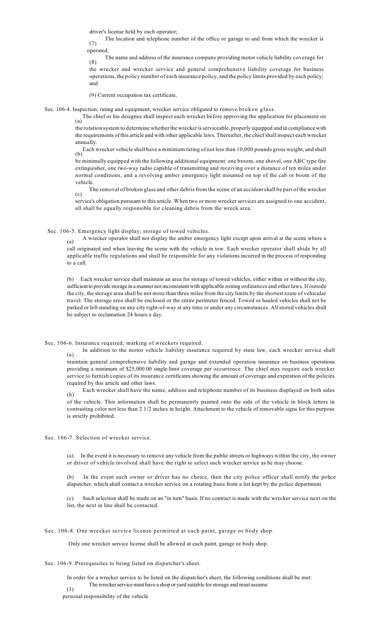driver's license held by each operator;

(7) The location and telephone number of the office or garage to and from which the wrecker is operated;

(8) The name and address of the insurance company providing motor vehicle liability coverage for

the wrecker and wrecker service and general comprehensive liability coverage for business operations, the policy number of each insurance policy, and the policy limits provided by each policy; and

(9) Current occupation tax certificate.

Sec. 106-4. Inspection; rating and equipment; wrecker service obligated to remove broken glass.

The chief or his designee shall inspect each wrecker before approving the application for placement on (a)

the rotation system to determine whether the wrecker isserviceable, properly equipped and in compliance with the requirements of this article and with other applicable laws. Thereafter, the chief shall inspect each wrecker annually.

(b) Each wrecker vehicle shall have a minimum rating of not less than 10,000 pounds gross weight, and shall

be minimally equipped with the following additional equipment: one broom, one shovel, one ABC type fire extinguisher, one two-way radio capable of transmitting and receiving over a distance of ten miles under normal conditions, and a revolving amber emergency light mounted on top of the cab or boom of the vehicle.

(c) The removal of broken glass and other debris from the scene of an accidentshall be part of the wrecker

service's obligation pursuant to this article. When two or more wrecker services are assigned to one accident, all shall be equally responsible for cleaning debris from the wreck area.

Sec. 106-5. Emergency light display; storage of towed vehicles.

(a) A wrecker operator shall not display the amber emergency light except upon arrival at the scene where a call originated and when leaving the scene with the vehicle in tow. Each wrecker operator shall abide by all

applicable traffic regulations and shall be responsible for any violations incurred in the process of responding to a call.

(b) Each wrecker service shall maintain an area for storage of towed vehicles, either within or without the city, sufficientto provide storage in a manner not inconsistent with applicable zoning ordinances and other laws. If outside the city, the storage area shall be not more than three miles from the city limits by the shortest route of vehicular travel. The storage area shall be enclosed or the entire perimeter fenced. Towed or hauled vehicles shall not be parked or left standing on any city right-of-way at any time or under any circumstances. Allstored vehicles shall be subject to reclamation 24 hours a day.

Sec. 106-6. Insurance required; marking of wreckers required.

(a) In addition to the motor vehicle liability insurance required by state law, each wrecker service shall

maintain general comprehensive liability and garage and extended operation insurance on business operations providing a minimum of \$25,000.00 single-limit coverage per occurrence. The chief may require each wrecker service to furnish copies of its insurance certificates showing the amount of coverage and expiration of the policies required by this article and other laws.

(b) Each wrecker shall have the name, address and telephone number of its business displayed on both sides

of the vehicle. This information shall be permanently painted onto the side of the vehicle in block letters in contrasting color not less than 2 1/2 inches in height. Attachment to the vehicle of removable signs for this purpose is strictly prohibited.

Sec. 106-7. Selection of wrecker service.

(a) In the event it is necessary to remove any vehicle from the public streets or highways within the city, the owner or driver of vehicle involved shall have the right to select such wrecker service as he may choose.

(b) In the event such owner or driver has no choice, then the city police officer shall notify the police dispatcher, which shall contact a wrecker service on a rotating basis from a list kept by the police department.

(c) Such selection shall be made on an "in turn" basis. If no contract is made with the wrecker service next on the list, the next in line shall be contacted.

Sec. 106-8. One wrecker service license permitted at each paint, garage or body shop.

Only one wrecker service license shall be allowed at each paint, garage or body shop.

Sec. 106-9. Prerequisites to being listed on dispatcher's sheet.

In order for a wrecker service to be listed on the dispatcher's sheet, the following conditions shall be met:  $(1)$ The wrecker service must have a shop or yard suitable for storage and must assume

personal responsibility of the vehicle.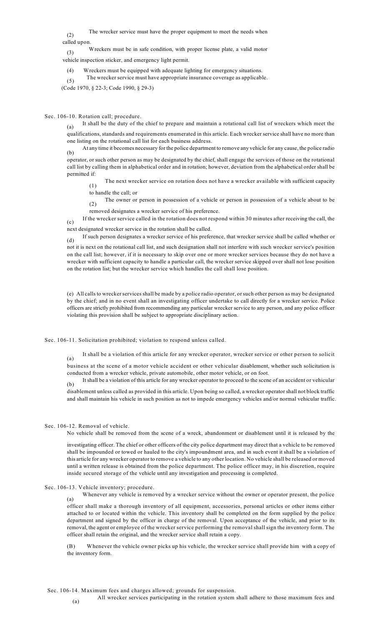(2) The wrecker service must have the proper equipment to meet the needs when called upon.

(3) Wreckers must be in safe condition, with proper license plate, a valid motor

vehicle inspection sticker, and emergency light permit.

- (4) Wreckers must be equipped with adequate lighting for emergency situations.
- (5) The wrecker service must have appropriate insurance coverage as applicable.

(Code 1970, § 22-3; Code 1990, § 29-3)

Sec. 106-10. Rotation call; procedure.

 $(c)$ 

 $(a)$ It shall be the duty of the chief to prepare and maintain a rotational call list of wreckers which meet the

qualifications, standards and requirements enumerated in this article. Each wrecker service shall have no more than one listing on the rotational call list for each business address.

(b) At any time it becomes necessary for the police department to remove any vehicle for any cause, the police radio operator, or such other person as may be designated by the chief, shall engage the services of those on the rotational

call list by calling them in alphabetical order and in rotation; however, deviation from the alphabetical order shall be permitted if:

(1) The next wrecker service on rotation does not have a wrecker available with sufficient capacity to handle the call; or

(2) The owner or person in possession of a vehicle or person in possession of a vehicle about to be

removed designates a wrecker service of his preference.

If the wrecker service called in the rotation does not respond within 30 minutes after receiving the call, the

next designated wrecker service in the rotation shall be called.

(d) If such person designates a wrecker service of his preference, that wrecker service shall be called whether or

not it is next on the rotational call list, and such designation shall not interfere with such wrecker service's position on the call list; however, if it is necessary to skip over one or more wrecker services because they do not have a wrecker with sufficient capacity to handle a particular call, the wrecker service skipped over shall not lose position on the rotation list; but the wrecker service which handles the call shall lose position.

(e) All callsto wreckerservicesshall be made by a police radio operator, orsuch other person as may be designated by the chief; and in no event shall an investigating officer undertake to call directly for a wrecker service. Police officers are strictly prohibited from recommending any particular wrecker service to any person, and any police officer violating this provision shall be subject to appropriate disciplinary action.

Sec. 106-11. Solicitation prohibited; violation to respond unless called.

(a) It shall be a violation of this article for any wrecker operator, wrecker service or other person to solicit

business at the scene of a motor vehicle accident or other vehicular disablement, whether such solicitation is conducted from a wrecker vehicle, private automobile, other motor vehicle, or on foot.

(b) It shall be a violation of this article for any wrecker operator to proceed to the scene of an accident or vehicular

disablement unless called as provided in this article. Upon being so called, a wrecker operator shall not block traffic and shall maintain his vehicle in such position as not to impede emergency vehicles and/or normal vehicular traffic.

#### Sec. 106-12. Removal of vehicle.

No vehicle shall be removed from the scene of a wreck, abandonment or disablement until it is released by the

investigating officer. The chief or other officers of the city police department may direct that a vehicle to be removed shall be impounded or towed or hauled to the city's impoundment area, and in such event it shall be a violation of this article for any wrecker operator to remove a vehicle to any other location. No vehicle shall be released or moved until a written release is obtained from the police department. The police officer may, in his discretion, require inside secured storage of the vehicle until any investigation and processing is completed.

Sec. 106-13. Vehicle inventory; procedure.

(a) Whenever any vehicle is removed by a wrecker service without the owner or operator present, the police

officer shall make a thorough inventory of all equipment, accessories, personal articles or other items either attached to or located within the vehicle. This inventory shall be completed on the form supplied by the police department and signed by the officer in charge of the removal. Upon acceptance of the vehicle, and prior to its removal, the agent or employee of the wrecker service performing the removal shall sign the inventory form. The officer shall retain the original, and the wrecker service shall retain a copy.

(B) Whenever the vehicle owner picks up his vehicle, the wrecker service shall provide him with a copy of the inventory form.

Sec. 106-14. Maximum fees and charges allowed; grounds for suspension.

(a) All wrecker services participating in the rotation system shall adhere to those maximum fees and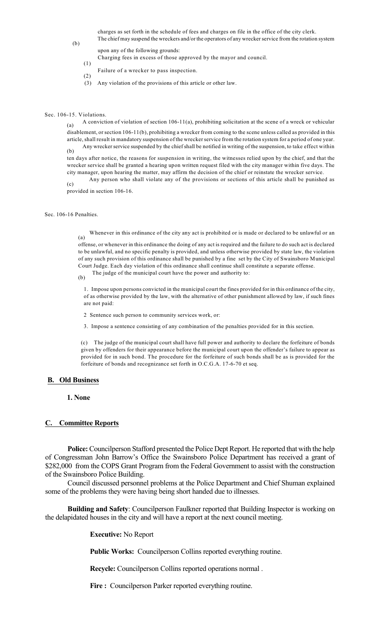charges as set forth in the schedule of fees and charges on file in the office of the city clerk. The chief may suspend the wreckers and/or the operators of any wrecker service from the rotation system

(b)

(2)

- upon any of the following grounds: Charging fees in excess of those approved by the mayor and council.
- (1) Failure of a wrecker to pass inspection.
- (3) Any violation of the provisions of this article or other law.

#### Sec. 106-15. Violations.

(a) A conviction of violation of section 106-11(a), prohibiting solicitation at the scene of a wreck or vehicular

disablement, orsection 106-11(b), prohibiting a wrecker from coming to the scene unless called as provided in this article, shall result in mandatory suspension of the wrecker service from the rotation system for a period of one year. (b) Any wrecker service suspended by the chief shall be notified in writing of the suspension, to take effect within

ten days after notice, the reasons for suspension in writing, the witnesses relied upon by the chief, and that the wrecker service shall be granted a hearing upon written request filed with the city manager within five days. The city manager, upon hearing the matter, may affirm the decision of the chief or reinstate the wrecker service.

 $(c)$ Any person who shall violate any of the provisions or sections of this article shall be punished as

provided in section 106-16.

#### Sec. 106-16 Penalties.

(a) Whenever in this ordinance of the city any act is prohibited or is made or declared to be unlawful or an

offense, or whenever in this ordinance the doing of any act is required and the failure to do such act is declared to be unlawful, and no specific penalty is provided, and unless otherwise provided by state law, the violation of any such provision of this ordinance shall be punished by a fine set by the City of Swainsboro Municipal Court Judge. Each day violation of this ordinance shall continue shall constitute a separate offense. The judge of the municipal court have the power and authority to:

(b)

1. Impose upon persons convicted in the municipal court the fines provided for in this ordinance of the city, of as otherwise provided by the law, with the alternative of other punishment allowed by law, if such fines are not paid:

- 2 Sentence such person to community services work, or:
- 3. Impose a sentence consisting of any combination of the penalties provided for in this section.

(c) The judge of the municipal court shall have full power and authority to declare the forfeiture of bonds given by offenders for their appearance before the municipal court upon the offender's failure to appear as provided for in such bond. The procedure for the forfeiture of such bonds shall be as is provided for the forfeiture of bonds and recognizance set forth in O.C.G.A. 17-6-70 et seq.

# **B. Old Business**

**1. None**

## **C. Committee Reports**

Police: Councilperson Stafford presented the Police Dept Report. He reported that with the help of Congressman John Barrow's Office the Swainsboro Police Department has received a grant of \$282,000 from the COPS Grant Program from the Federal Government to assist with the construction of the Swainsboro Police Building.

Council discussed personnel problems at the Police Department and Chief Shuman explained some of the problems they were having being short handed due to illnesses.

**Building and Safety**: Councilperson Faulkner reported that Building Inspector is working on the delapidated houses in the city and will have a report at the next council meeting.

**Executive:** No Report

**Public Works:** Councilperson Collins reported everything routine.

**Recycle:** Councilperson Collins reported operations normal .

**Fire :** Councilperson Parker reported everything routine.